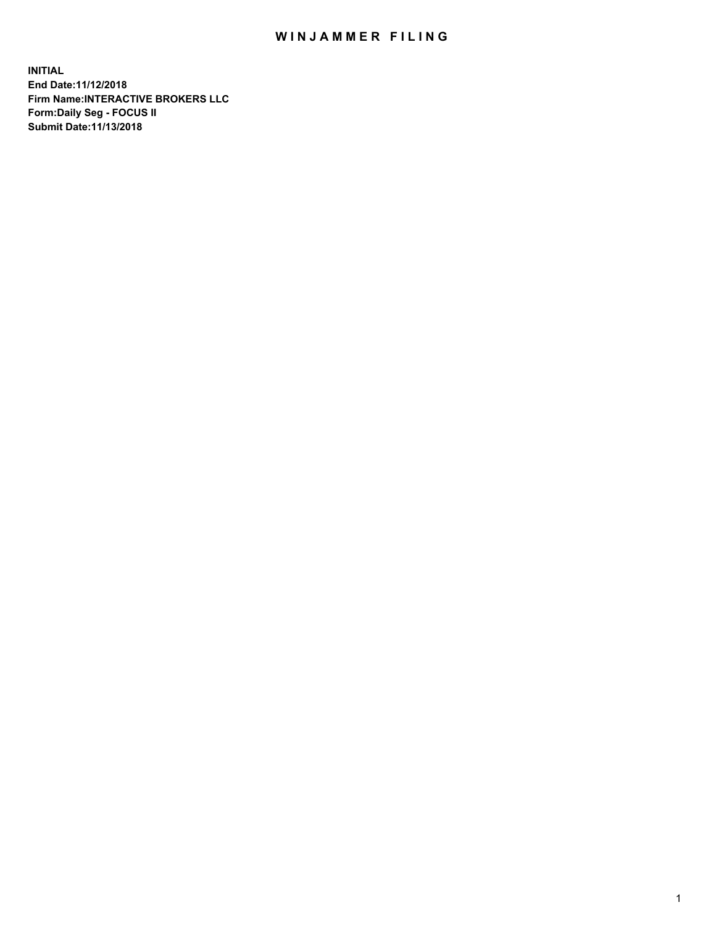## WIN JAMMER FILING

**INITIAL End Date:11/12/2018 Firm Name:INTERACTIVE BROKERS LLC Form:Daily Seg - FOCUS II Submit Date:11/13/2018**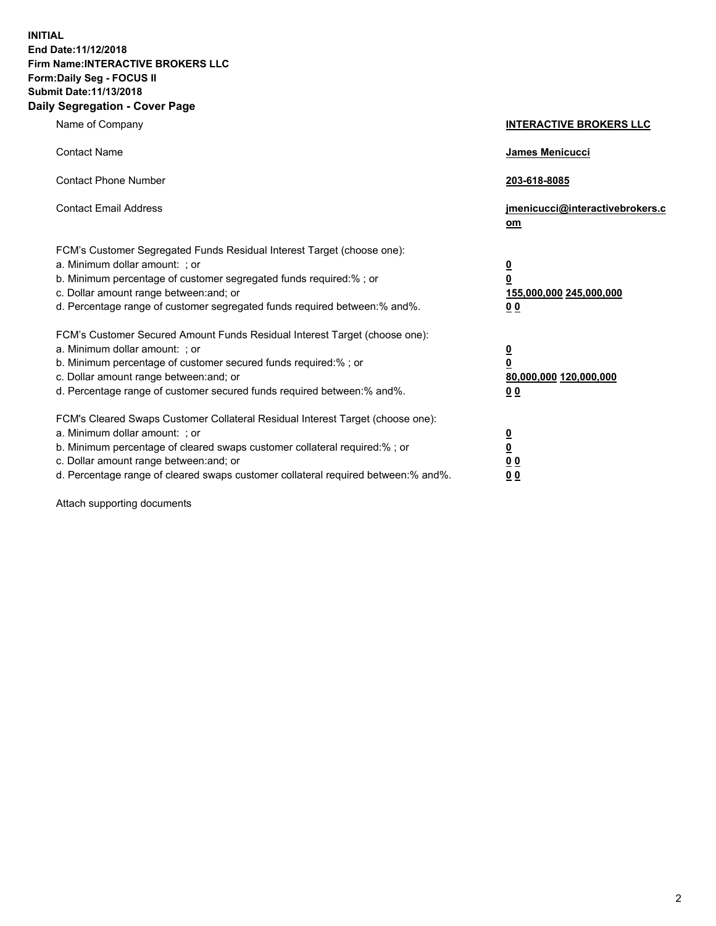**INITIAL End Date:11/12/2018 Firm Name:INTERACTIVE BROKERS LLC Form:Daily Seg - FOCUS II Submit Date:11/13/2018 Daily Segregation - Cover Page**

| Name of Company                                                                                                                                                                                                                                                                                                                | <b>INTERACTIVE BROKERS LLC</b>                                                                  |
|--------------------------------------------------------------------------------------------------------------------------------------------------------------------------------------------------------------------------------------------------------------------------------------------------------------------------------|-------------------------------------------------------------------------------------------------|
| <b>Contact Name</b>                                                                                                                                                                                                                                                                                                            | James Menicucci                                                                                 |
| <b>Contact Phone Number</b>                                                                                                                                                                                                                                                                                                    | 203-618-8085                                                                                    |
| <b>Contact Email Address</b>                                                                                                                                                                                                                                                                                                   | jmenicucci@interactivebrokers.c<br>om                                                           |
| FCM's Customer Segregated Funds Residual Interest Target (choose one):<br>a. Minimum dollar amount: ; or<br>b. Minimum percentage of customer segregated funds required:%; or<br>c. Dollar amount range between: and; or<br>d. Percentage range of customer segregated funds required between:% and%.                          | $\overline{\mathbf{0}}$<br>$\overline{\mathbf{0}}$<br>155,000,000 245,000,000<br>0 <sub>0</sub> |
| FCM's Customer Secured Amount Funds Residual Interest Target (choose one):<br>a. Minimum dollar amount: ; or<br>b. Minimum percentage of customer secured funds required:% ; or<br>c. Dollar amount range between: and; or<br>d. Percentage range of customer secured funds required between:% and%.                           | $\overline{\mathbf{0}}$<br>$\overline{\mathbf{0}}$<br>80,000,000 120,000,000<br>0 <sub>0</sub>  |
| FCM's Cleared Swaps Customer Collateral Residual Interest Target (choose one):<br>a. Minimum dollar amount: ; or<br>b. Minimum percentage of cleared swaps customer collateral required:% ; or<br>c. Dollar amount range between: and; or<br>d. Percentage range of cleared swaps customer collateral required between:% and%. | $\overline{\mathbf{0}}$<br>$\underline{\mathbf{0}}$<br>0 <sub>0</sub><br>0 <sub>0</sub>         |

Attach supporting documents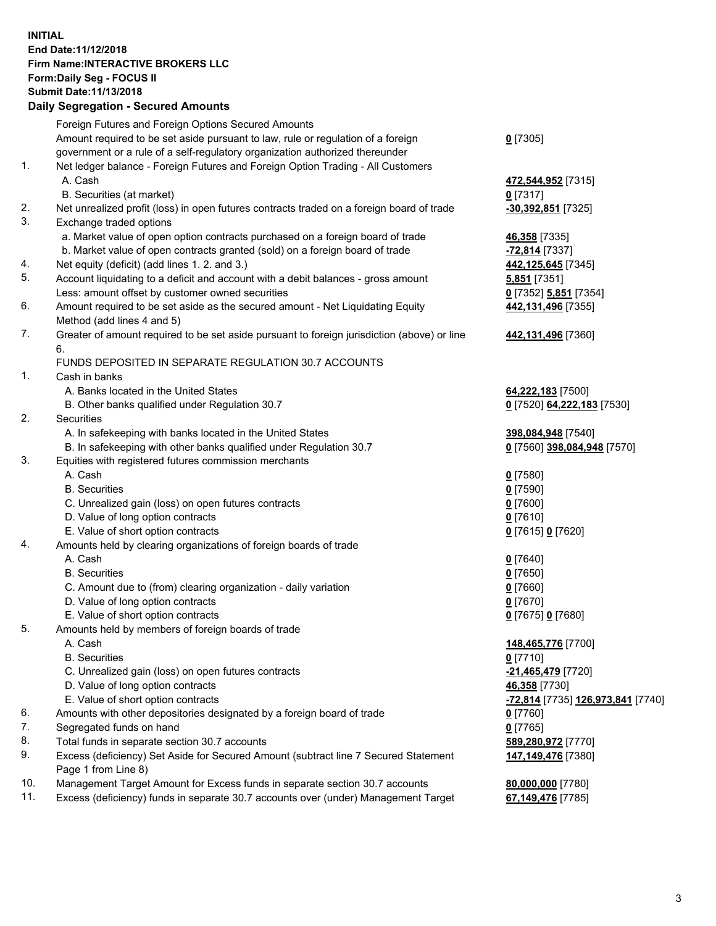## **INITIAL End Date:11/12/2018 Firm Name:INTERACTIVE BROKERS LLC Form:Daily Seg - FOCUS II Submit Date:11/13/2018 Daily Segregation - Secured Amounts**

|     | Daily Segregation - Secured Amounts                                                                  |                                                 |
|-----|------------------------------------------------------------------------------------------------------|-------------------------------------------------|
|     | Foreign Futures and Foreign Options Secured Amounts                                                  |                                                 |
|     | Amount required to be set aside pursuant to law, rule or regulation of a foreign                     | $0$ [7305]                                      |
|     | government or a rule of a self-regulatory organization authorized thereunder                         |                                                 |
| 1.  | Net ledger balance - Foreign Futures and Foreign Option Trading - All Customers                      |                                                 |
|     | A. Cash                                                                                              | 472,544,952 [7315]                              |
|     | B. Securities (at market)                                                                            | $0$ [7317]                                      |
| 2.  | Net unrealized profit (loss) in open futures contracts traded on a foreign board of trade            | -30,392,851 [7325]                              |
| 3.  | Exchange traded options                                                                              |                                                 |
|     | a. Market value of open option contracts purchased on a foreign board of trade                       | 46,358 [7335]                                   |
|     | b. Market value of open contracts granted (sold) on a foreign board of trade                         | -72,814 [7337]                                  |
| 4.  | Net equity (deficit) (add lines 1. 2. and 3.)                                                        | 442,125,645 [7345]                              |
| 5.  | Account liquidating to a deficit and account with a debit balances - gross amount                    | 5,851 [7351]                                    |
|     | Less: amount offset by customer owned securities                                                     | 0 [7352] 5,851 [7354]                           |
| 6.  | Amount required to be set aside as the secured amount - Net Liquidating Equity                       | 442,131,496 [7355]                              |
|     | Method (add lines 4 and 5)                                                                           |                                                 |
| 7.  | Greater of amount required to be set aside pursuant to foreign jurisdiction (above) or line          | 442,131,496 [7360]                              |
|     | 6.                                                                                                   |                                                 |
|     | FUNDS DEPOSITED IN SEPARATE REGULATION 30.7 ACCOUNTS                                                 |                                                 |
| 1.  | Cash in banks                                                                                        |                                                 |
|     | A. Banks located in the United States                                                                | 64,222,183 [7500]                               |
|     | B. Other banks qualified under Regulation 30.7                                                       | 0 [7520] 64,222,183 [7530]                      |
| 2.  | Securities                                                                                           |                                                 |
|     | A. In safekeeping with banks located in the United States                                            | 398,084,948 [7540]                              |
|     | B. In safekeeping with other banks qualified under Regulation 30.7                                   | 0 [7560] 398,084,948 [7570]                     |
| 3.  | Equities with registered futures commission merchants                                                |                                                 |
|     | A. Cash                                                                                              | $0$ [7580]                                      |
|     | <b>B.</b> Securities                                                                                 | $0$ [7590]                                      |
|     | C. Unrealized gain (loss) on open futures contracts                                                  | $0$ [7600]                                      |
|     | D. Value of long option contracts                                                                    | $0$ [7610]                                      |
|     | E. Value of short option contracts                                                                   | 0 [7615] 0 [7620]                               |
| 4.  | Amounts held by clearing organizations of foreign boards of trade                                    |                                                 |
|     | A. Cash                                                                                              | $0$ [7640]                                      |
|     | <b>B.</b> Securities                                                                                 | $0$ [7650]                                      |
|     |                                                                                                      |                                                 |
|     | C. Amount due to (from) clearing organization - daily variation<br>D. Value of long option contracts | $0$ [7660]<br>$0$ [7670]                        |
|     |                                                                                                      |                                                 |
| 5.  | E. Value of short option contracts                                                                   | 0 [7675] 0 [7680]                               |
|     | Amounts held by members of foreign boards of trade                                                   |                                                 |
|     | A. Cash                                                                                              | 148,465,776 [7700]                              |
|     | <b>B.</b> Securities                                                                                 | $0$ [7710]                                      |
|     | C. Unrealized gain (loss) on open futures contracts                                                  | -21,465,479 [7720]                              |
|     | D. Value of long option contracts                                                                    | 46,358 [7730]                                   |
|     | E. Value of short option contracts                                                                   | <u>-72,814</u> [7735] <u>126,973,841</u> [7740] |
| 6.  | Amounts with other depositories designated by a foreign board of trade                               | $0$ [7760]                                      |
| 7.  | Segregated funds on hand                                                                             | $0$ [7765]                                      |
| 8.  | Total funds in separate section 30.7 accounts                                                        | 589,280,972 [7770]                              |
| 9.  | Excess (deficiency) Set Aside for Secured Amount (subtract line 7 Secured Statement                  | 147,149,476 [7380]                              |
|     | Page 1 from Line 8)                                                                                  |                                                 |
| 10. | Management Target Amount for Excess funds in separate section 30.7 accounts                          | 80,000,000 [7780]                               |
| 11. | Excess (deficiency) funds in separate 30.7 accounts over (under) Management Target                   | 67,149,476 [7785]                               |
|     |                                                                                                      |                                                 |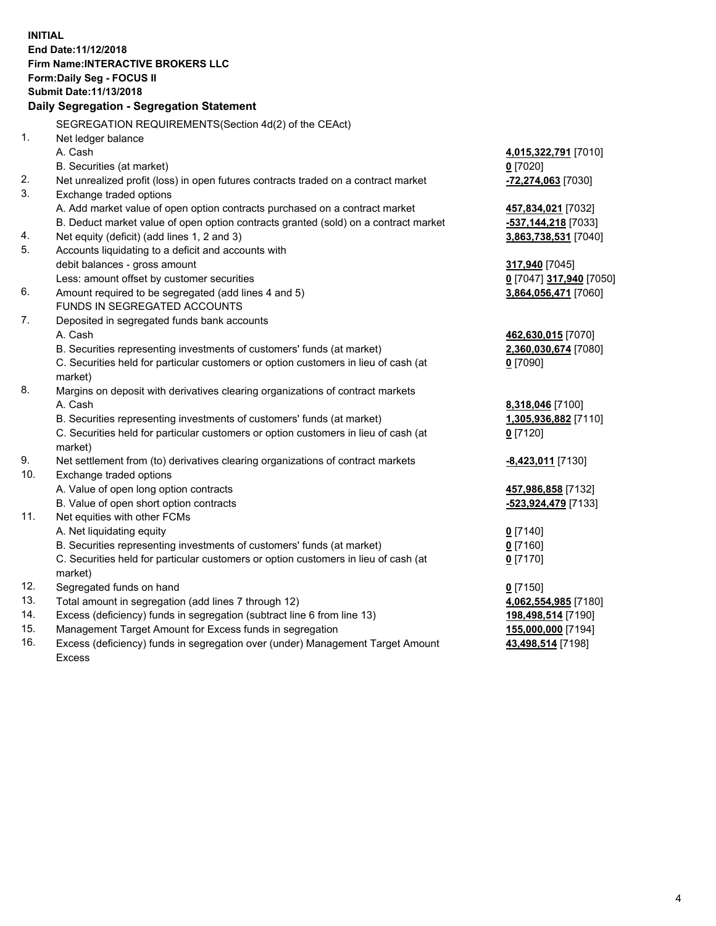**INITIAL End Date:11/12/2018 Firm Name:INTERACTIVE BROKERS LLC Form:Daily Seg - FOCUS II Submit Date:11/13/2018 Daily Segregation - Segregation Statement** SEGREGATION REQUIREMENTS(Section 4d(2) of the CEAct) 1. Net ledger balance A. Cash **4,015,322,791** [7010] B. Securities (at market) **0** [7020] 2. Net unrealized profit (loss) in open futures contracts traded on a contract market **-72,274,063** [7030] 3. Exchange traded options A. Add market value of open option contracts purchased on a contract market **457,834,021** [7032] B. Deduct market value of open option contracts granted (sold) on a contract market **-537,144,218** [7033] 4. Net equity (deficit) (add lines 1, 2 and 3) **3,863,738,531** [7040] 5. Accounts liquidating to a deficit and accounts with debit balances - gross amount **317,940** [7045] Less: amount offset by customer securities **0** [7047] **317,940** [7050] 6. Amount required to be segregated (add lines 4 and 5) **3,864,056,471** [7060] FUNDS IN SEGREGATED ACCOUNTS 7. Deposited in segregated funds bank accounts A. Cash **462,630,015** [7070] B. Securities representing investments of customers' funds (at market) **2,360,030,674** [7080] C. Securities held for particular customers or option customers in lieu of cash (at market) **0** [7090] 8. Margins on deposit with derivatives clearing organizations of contract markets A. Cash **8,318,046** [7100] B. Securities representing investments of customers' funds (at market) **1,305,936,882** [7110] C. Securities held for particular customers or option customers in lieu of cash (at market) **0** [7120] 9. Net settlement from (to) derivatives clearing organizations of contract markets **-8,423,011** [7130] 10. Exchange traded options A. Value of open long option contracts **457,986,858** [7132] B. Value of open short option contracts **-523,924,479** [7133] 11. Net equities with other FCMs A. Net liquidating equity **0** [7140] B. Securities representing investments of customers' funds (at market) **0** [7160] C. Securities held for particular customers or option customers in lieu of cash (at market) **0** [7170] 12. Segregated funds on hand **0** [7150] 13. Total amount in segregation (add lines 7 through 12) **4,062,554,985** [7180] 14. Excess (deficiency) funds in segregation (subtract line 6 from line 13) **198,498,514** [7190] 15. Management Target Amount for Excess funds in segregation **155,000,000** [7194]

16. Excess (deficiency) funds in segregation over (under) Management Target Amount Excess

**43,498,514** [7198]